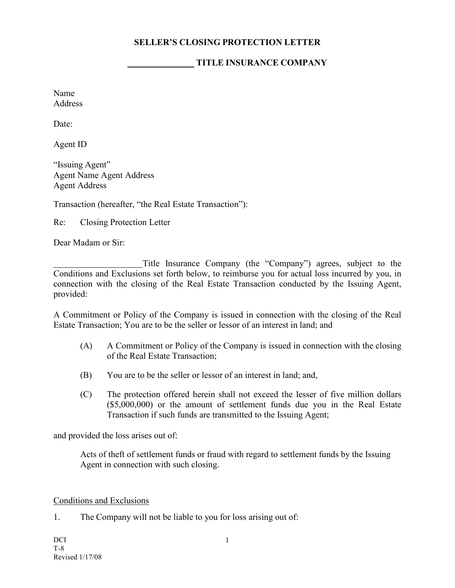## **SELLER'S CLOSING PROTECTION LETTER**

## **TITLE INSURANCE COMPANY**

Name **Address** 

Date:

Agent ID

"Issuing Agent" Agent Name Agent Address Agent Address

Transaction (hereafter, "the Real Estate Transaction"):

Re: Closing Protection Letter

Dear Madam or Sir:

Title Insurance Company (the "Company") agrees, subject to the Conditions and Exclusions set forth below, to reimburse you for actual loss incurred by you, in connection with the closing of the Real Estate Transaction conducted by the Issuing Agent, provided:

A Commitment or Policy of the Company is issued in connection with the closing of the Real Estate Transaction; You are to be the seller or lessor of an interest in land; and

- (A) A Commitment or Policy of the Company is issued in connection with the closing of the Real Estate Transaction;
- (B) You are to be the seller or lessor of an interest in land; and,
- (C) The protection offered herein shall not exceed the lesser of five million dollars (\$5,000,000) or the amount of settlement funds due you in the Real Estate Transaction if such funds are transmitted to the Issuing Agent;

and provided the loss arises out of:

Acts of theft of settlement funds or fraud with regard to settlement funds by the Issuing Agent in connection with such closing.

Conditions and Exclusions

1. The Company will not be liable to you for loss arising out of: